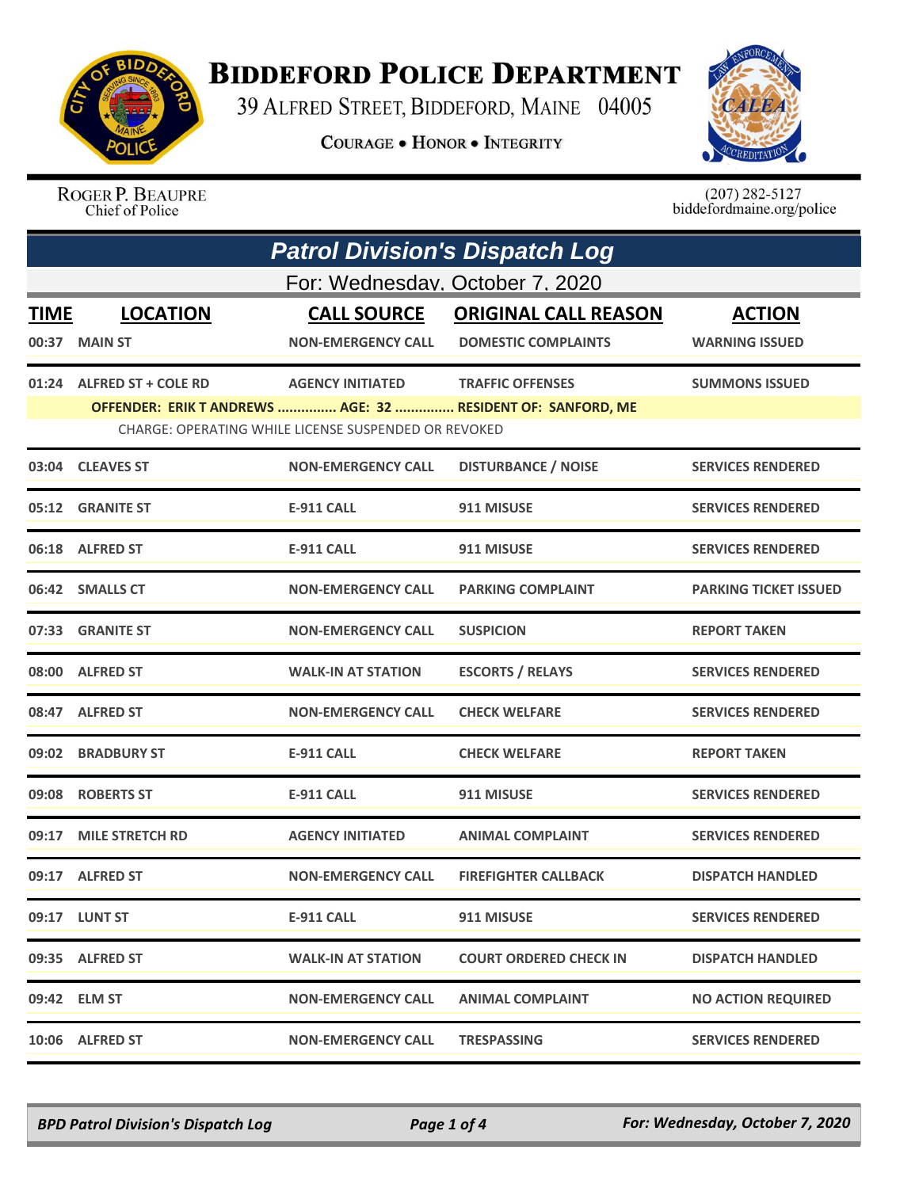

**BIDDEFORD POLICE DEPARTMENT** 

39 ALFRED STREET, BIDDEFORD, MAINE 04005

**COURAGE . HONOR . INTEGRITY** 



ROGER P. BEAUPRE Chief of Police

 $(207)$  282-5127 biddefordmaine.org/police

|                      | <b>Patrol Division's Dispatch Log</b> |                                                                                 |                                                                                        |                                        |  |
|----------------------|---------------------------------------|---------------------------------------------------------------------------------|----------------------------------------------------------------------------------------|----------------------------------------|--|
|                      | For: Wednesday, October 7, 2020       |                                                                                 |                                                                                        |                                        |  |
| <b>TIME</b><br>00:37 | <b>LOCATION</b><br><b>MAIN ST</b>     | <b>CALL SOURCE</b><br><b>NON-EMERGENCY CALL</b>                                 | <b>ORIGINAL CALL REASON</b><br><b>DOMESTIC COMPLAINTS</b>                              | <b>ACTION</b><br><b>WARNING ISSUED</b> |  |
|                      | 01:24 ALFRED ST + COLE RD             | <b>AGENCY INITIATED</b><br>CHARGE: OPERATING WHILE LICENSE SUSPENDED OR REVOKED | <b>TRAFFIC OFFENSES</b><br>OFFENDER: ERIK T ANDREWS  AGE: 32  RESIDENT OF: SANFORD, ME | <b>SUMMONS ISSUED</b>                  |  |
|                      | 03:04 CLEAVES ST                      | <b>NON-EMERGENCY CALL</b>                                                       | <b>DISTURBANCE / NOISE</b>                                                             | <b>SERVICES RENDERED</b>               |  |
|                      | 05:12 GRANITE ST                      | <b>E-911 CALL</b>                                                               | 911 MISUSE                                                                             | <b>SERVICES RENDERED</b>               |  |
|                      | 06:18 ALFRED ST                       | E-911 CALL                                                                      | 911 MISUSE                                                                             | <b>SERVICES RENDERED</b>               |  |
|                      | 06:42 SMALLS CT                       | <b>NON-EMERGENCY CALL</b>                                                       | <b>PARKING COMPLAINT</b>                                                               | <b>PARKING TICKET ISSUED</b>           |  |
|                      | 07:33 GRANITE ST                      | <b>NON-EMERGENCY CALL</b>                                                       | <b>SUSPICION</b>                                                                       | <b>REPORT TAKEN</b>                    |  |
|                      | 08:00 ALFRED ST                       | <b>WALK-IN AT STATION</b>                                                       | <b>ESCORTS / RELAYS</b>                                                                | <b>SERVICES RENDERED</b>               |  |
|                      | 08:47 ALFRED ST                       | <b>NON-EMERGENCY CALL</b>                                                       | <b>CHECK WELFARE</b>                                                                   | <b>SERVICES RENDERED</b>               |  |
|                      | 09:02 BRADBURY ST                     | <b>E-911 CALL</b>                                                               | <b>CHECK WELFARE</b>                                                                   | <b>REPORT TAKEN</b>                    |  |
| 09:08                | <b>ROBERTS ST</b>                     | <b>E-911 CALL</b>                                                               | 911 MISUSE                                                                             | <b>SERVICES RENDERED</b>               |  |
|                      | 09:17 MILE STRETCH RD                 | <b>AGENCY INITIATED</b>                                                         | <b>ANIMAL COMPLAINT</b>                                                                | <b>SERVICES RENDERED</b>               |  |
|                      | 09:17 ALFRED ST                       | <b>NON-EMERGENCY CALL</b>                                                       | <b>FIREFIGHTER CALLBACK</b>                                                            | <b>DISPATCH HANDLED</b>                |  |
|                      | 09:17 LUNT ST                         | <b>E-911 CALL</b>                                                               | 911 MISUSE                                                                             | <b>SERVICES RENDERED</b>               |  |
|                      | 09:35 ALFRED ST                       | <b>WALK-IN AT STATION</b>                                                       | <b>COURT ORDERED CHECK IN</b>                                                          | <b>DISPATCH HANDLED</b>                |  |
|                      | 09:42 ELM ST                          | <b>NON-EMERGENCY CALL</b>                                                       | <b>ANIMAL COMPLAINT</b>                                                                | <b>NO ACTION REQUIRED</b>              |  |
|                      | 10:06 ALFRED ST                       | <b>NON-EMERGENCY CALL</b>                                                       | <b>TRESPASSING</b>                                                                     | <b>SERVICES RENDERED</b>               |  |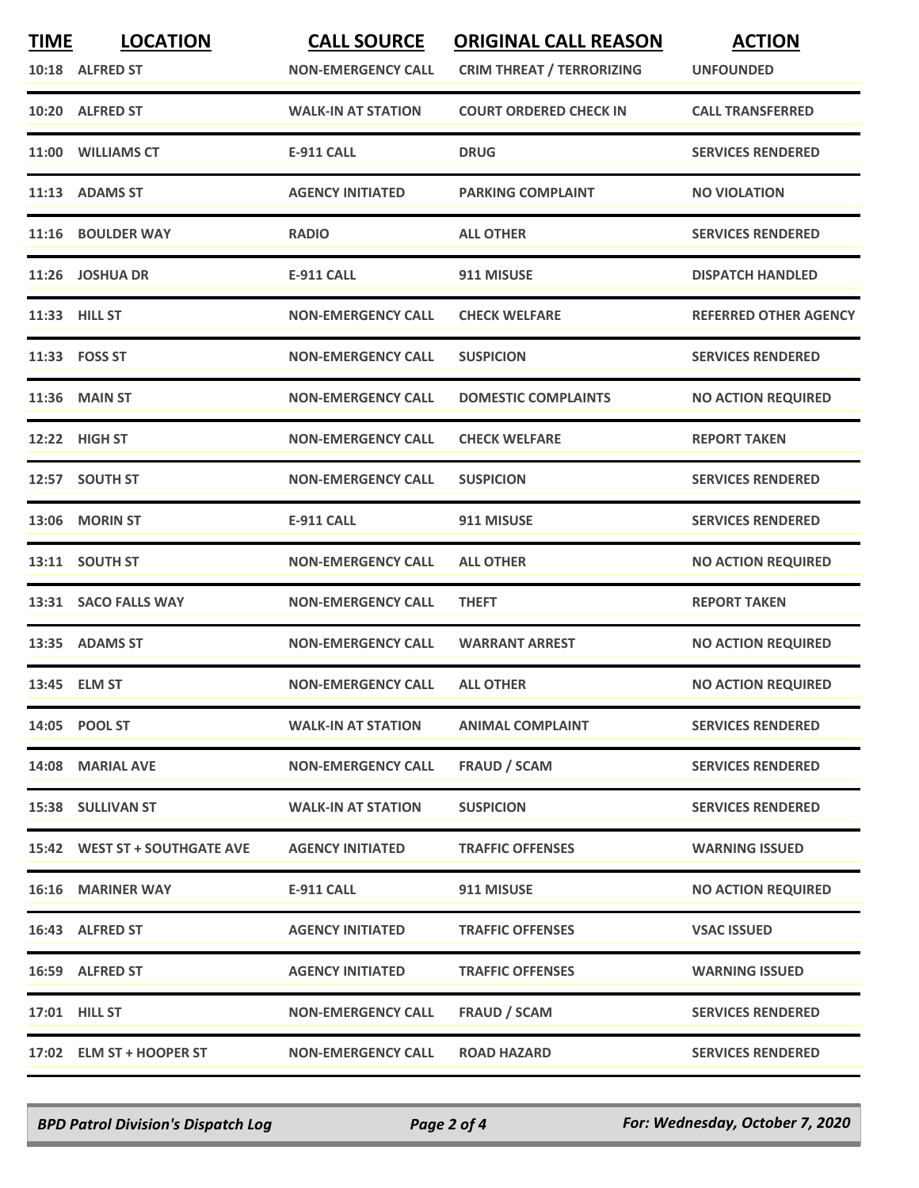| <b>TIME</b> | <b>LOCATION</b><br>10:18 ALFRED ST | <b>CALL SOURCE</b><br><b>NON-EMERGENCY CALL</b> | <b>ORIGINAL CALL REASON</b><br><b>CRIM THREAT / TERRORIZING</b> | <b>ACTION</b><br><b>UNFOUNDED</b> |
|-------------|------------------------------------|-------------------------------------------------|-----------------------------------------------------------------|-----------------------------------|
|             | 10:20 ALFRED ST                    | <b>WALK-IN AT STATION</b>                       | <b>COURT ORDERED CHECK IN</b>                                   | <b>CALL TRANSFERRED</b>           |
|             | 11:00 WILLIAMS CT                  | <b>E-911 CALL</b>                               | <b>DRUG</b>                                                     | <b>SERVICES RENDERED</b>          |
|             | 11:13 ADAMS ST                     | <b>AGENCY INITIATED</b>                         | <b>PARKING COMPLAINT</b>                                        | <b>NO VIOLATION</b>               |
|             | 11:16 BOULDER WAY                  | <b>RADIO</b>                                    | <b>ALL OTHER</b>                                                | <b>SERVICES RENDERED</b>          |
|             | 11:26 JOSHUA DR                    | <b>E-911 CALL</b>                               | 911 MISUSE                                                      | <b>DISPATCH HANDLED</b>           |
|             | 11:33 HILL ST                      | <b>NON-EMERGENCY CALL</b>                       | <b>CHECK WELFARE</b>                                            | <b>REFERRED OTHER AGENCY</b>      |
|             | 11:33    FOSS ST                   | <b>NON-EMERGENCY CALL</b>                       | <b>SUSPICION</b>                                                | <b>SERVICES RENDERED</b>          |
|             | 11:36 MAIN ST                      | <b>NON-EMERGENCY CALL</b>                       | <b>DOMESTIC COMPLAINTS</b>                                      | <b>NO ACTION REQUIRED</b>         |
|             | 12:22 HIGH ST                      | <b>NON-EMERGENCY CALL</b>                       | <b>CHECK WELFARE</b>                                            | <b>REPORT TAKEN</b>               |
|             | 12:57 SOUTH ST                     | <b>NON-EMERGENCY CALL</b>                       | <b>SUSPICION</b>                                                | <b>SERVICES RENDERED</b>          |
|             | 13:06 MORIN ST                     | <b>E-911 CALL</b>                               | 911 MISUSE                                                      | <b>SERVICES RENDERED</b>          |
|             | 13:11 SOUTH ST                     | <b>NON-EMERGENCY CALL</b>                       | <b>ALL OTHER</b>                                                | <b>NO ACTION REQUIRED</b>         |
| 13:31       | <b>SACO FALLS WAY</b>              | <b>NON-EMERGENCY CALL</b>                       | <b>THEFT</b>                                                    | <b>REPORT TAKEN</b>               |
|             | 13:35 ADAMS ST                     | <b>NON-EMERGENCY CALL</b>                       | <b>WARRANT ARREST</b>                                           | <b>NO ACTION REQUIRED</b>         |
|             | 13:45 ELM ST                       | <b>NON-EMERGENCY CALL</b>                       | <b>ALL OTHER</b>                                                | <b>NO ACTION REQUIRED</b>         |
|             | 14:05 POOL ST                      | <b>WALK-IN AT STATION</b>                       | <b>ANIMAL COMPLAINT</b>                                         | <b>SERVICES RENDERED</b>          |
|             | 14:08 MARIAL AVE                   | <b>NON-EMERGENCY CALL</b>                       | <b>FRAUD / SCAM</b>                                             | <b>SERVICES RENDERED</b>          |
|             | 15:38 SULLIVAN ST                  | <b>WALK-IN AT STATION</b>                       | <b>SUSPICION</b>                                                | <b>SERVICES RENDERED</b>          |
|             | 15:42 WEST ST + SOUTHGATE AVE      | <b>AGENCY INITIATED</b>                         | <b>TRAFFIC OFFENSES</b>                                         | <b>WARNING ISSUED</b>             |
|             | <b>16:16 MARINER WAY</b>           | <b>E-911 CALL</b>                               | 911 MISUSE                                                      | <b>NO ACTION REQUIRED</b>         |
|             | 16:43 ALFRED ST                    | <b>AGENCY INITIATED</b>                         | <b>TRAFFIC OFFENSES</b>                                         | <b>VSAC ISSUED</b>                |
|             | 16:59 ALFRED ST                    | <b>AGENCY INITIATED</b>                         | <b>TRAFFIC OFFENSES</b>                                         | <b>WARNING ISSUED</b>             |
|             | 17:01 HILL ST                      | <b>NON-EMERGENCY CALL</b>                       | <b>FRAUD / SCAM</b>                                             | <b>SERVICES RENDERED</b>          |
|             | 17:02 ELM ST + HOOPER ST           | <b>NON-EMERGENCY CALL</b>                       | <b>ROAD HAZARD</b>                                              | <b>SERVICES RENDERED</b>          |

*BPD Patrol Division's Dispatch Log Page 2 of 4 For: Wednesday, October 7, 2020*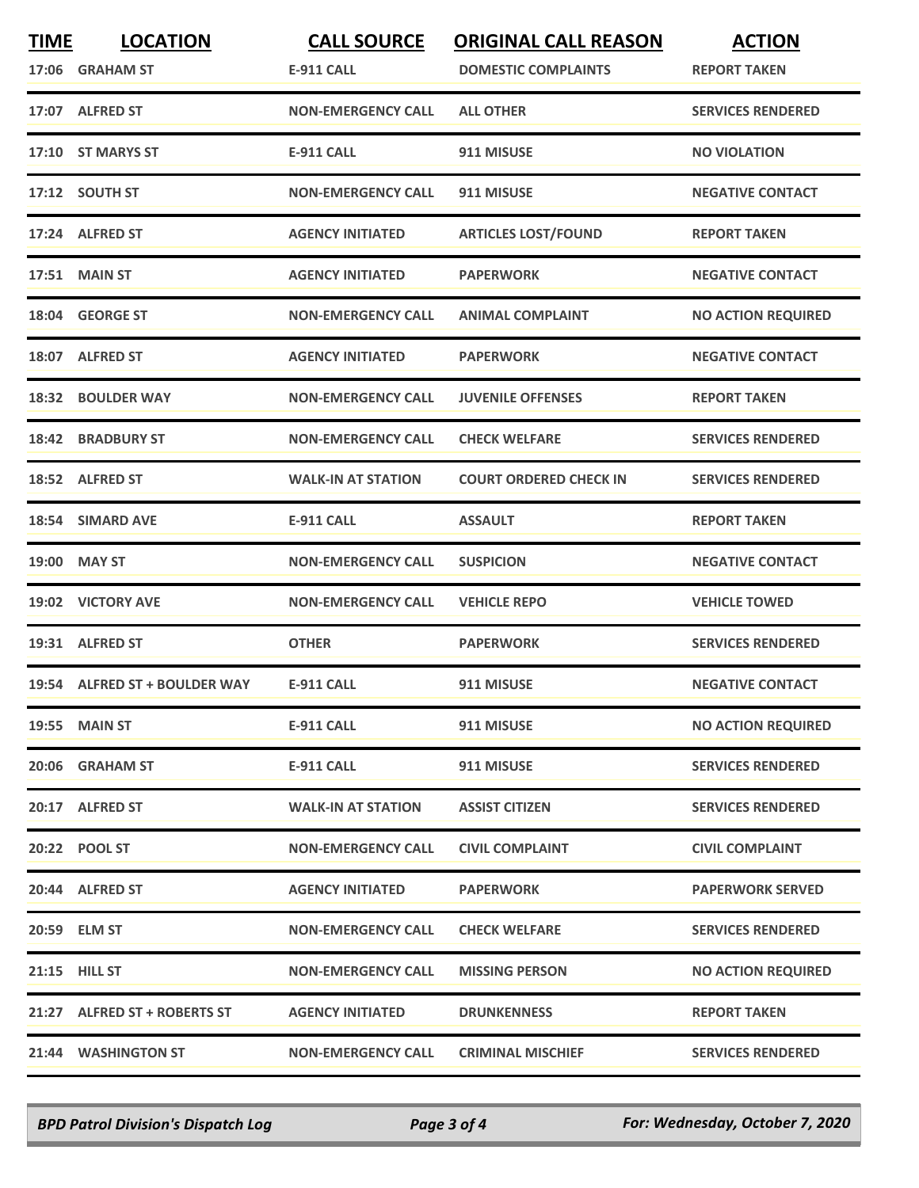| <b>TIME</b> | <b>LOCATION</b><br>17:06 GRAHAM ST | <b>CALL SOURCE</b><br><b>E-911 CALL</b> | <b>ORIGINAL CALL REASON</b><br><b>DOMESTIC COMPLAINTS</b> | <b>ACTION</b><br><b>REPORT TAKEN</b> |
|-------------|------------------------------------|-----------------------------------------|-----------------------------------------------------------|--------------------------------------|
|             | 17:07 ALFRED ST                    | <b>NON-EMERGENCY CALL</b>               | <b>ALL OTHER</b>                                          | <b>SERVICES RENDERED</b>             |
|             | 17:10 ST MARYS ST                  | <b>E-911 CALL</b>                       | 911 MISUSE                                                | <b>NO VIOLATION</b>                  |
|             | 17:12 SOUTH ST                     | <b>NON-EMERGENCY CALL</b>               | 911 MISUSE                                                | <b>NEGATIVE CONTACT</b>              |
|             | 17:24 ALFRED ST                    | <b>AGENCY INITIATED</b>                 | <b>ARTICLES LOST/FOUND</b>                                | <b>REPORT TAKEN</b>                  |
|             | <b>17:51 MAIN ST</b>               | <b>AGENCY INITIATED</b>                 | <b>PAPERWORK</b>                                          | <b>NEGATIVE CONTACT</b>              |
|             | 18:04 GEORGE ST                    | <b>NON-EMERGENCY CALL</b>               | <b>ANIMAL COMPLAINT</b>                                   | <b>NO ACTION REQUIRED</b>            |
|             | 18:07 ALFRED ST                    | <b>AGENCY INITIATED</b>                 | <b>PAPERWORK</b>                                          | <b>NEGATIVE CONTACT</b>              |
|             | 18:32 BOULDER WAY                  | <b>NON-EMERGENCY CALL</b>               | <b>JUVENILE OFFENSES</b>                                  | <b>REPORT TAKEN</b>                  |
|             | <b>18:42 BRADBURY ST</b>           | <b>NON-EMERGENCY CALL</b>               | <b>CHECK WELFARE</b>                                      | <b>SERVICES RENDERED</b>             |
|             | 18:52 ALFRED ST                    | <b>WALK-IN AT STATION</b>               | <b>COURT ORDERED CHECK IN</b>                             | <b>SERVICES RENDERED</b>             |
|             | 18:54 SIMARD AVE                   | <b>E-911 CALL</b>                       | <b>ASSAULT</b>                                            | <b>REPORT TAKEN</b>                  |
|             | 19:00 MAY ST                       | <b>NON-EMERGENCY CALL</b>               | <b>SUSPICION</b>                                          | <b>NEGATIVE CONTACT</b>              |
|             | 19:02 VICTORY AVE                  | <b>NON-EMERGENCY CALL</b>               | <b>VEHICLE REPO</b>                                       | <b>VEHICLE TOWED</b>                 |
|             | 19:31 ALFRED ST                    | <b>OTHER</b>                            | <b>PAPERWORK</b>                                          | <b>SERVICES RENDERED</b>             |
|             | 19:54 ALFRED ST + BOULDER WAY      | <b>E-911 CALL</b>                       | 911 MISUSE                                                | <b>NEGATIVE CONTACT</b>              |
|             | <b>19:55 MAIN ST</b>               | <b>E-911 CALL</b>                       | 911 MISUSE                                                | <b>NO ACTION REQUIRED</b>            |
|             | 20:06 GRAHAM ST                    | <b>E-911 CALL</b>                       | 911 MISUSE                                                | <b>SERVICES RENDERED</b>             |
|             | 20:17 ALFRED ST                    | <b>WALK-IN AT STATION</b>               | <b>ASSIST CITIZEN</b>                                     | <b>SERVICES RENDERED</b>             |
|             | 20:22 POOL ST                      | <b>NON-EMERGENCY CALL</b>               | <b>CIVIL COMPLAINT</b>                                    | <b>CIVIL COMPLAINT</b>               |
|             | 20:44 ALFRED ST                    | <b>AGENCY INITIATED</b>                 | <b>PAPERWORK</b>                                          | <b>PAPERWORK SERVED</b>              |
|             | 20:59 ELM ST                       | <b>NON-EMERGENCY CALL</b>               | <b>CHECK WELFARE</b>                                      | <b>SERVICES RENDERED</b>             |
|             | 21:15 HILL ST                      | <b>NON-EMERGENCY CALL</b>               | <b>MISSING PERSON</b>                                     | <b>NO ACTION REQUIRED</b>            |
|             | 21:27 ALFRED ST + ROBERTS ST       | <b>AGENCY INITIATED</b>                 | <b>DRUNKENNESS</b>                                        | <b>REPORT TAKEN</b>                  |
|             | 21:44 WASHINGTON ST                | <b>NON-EMERGENCY CALL</b>               | <b>CRIMINAL MISCHIEF</b>                                  | <b>SERVICES RENDERED</b>             |

*BPD Patrol Division's Dispatch Log Page 3 of 4 For: Wednesday, October 7, 2020*